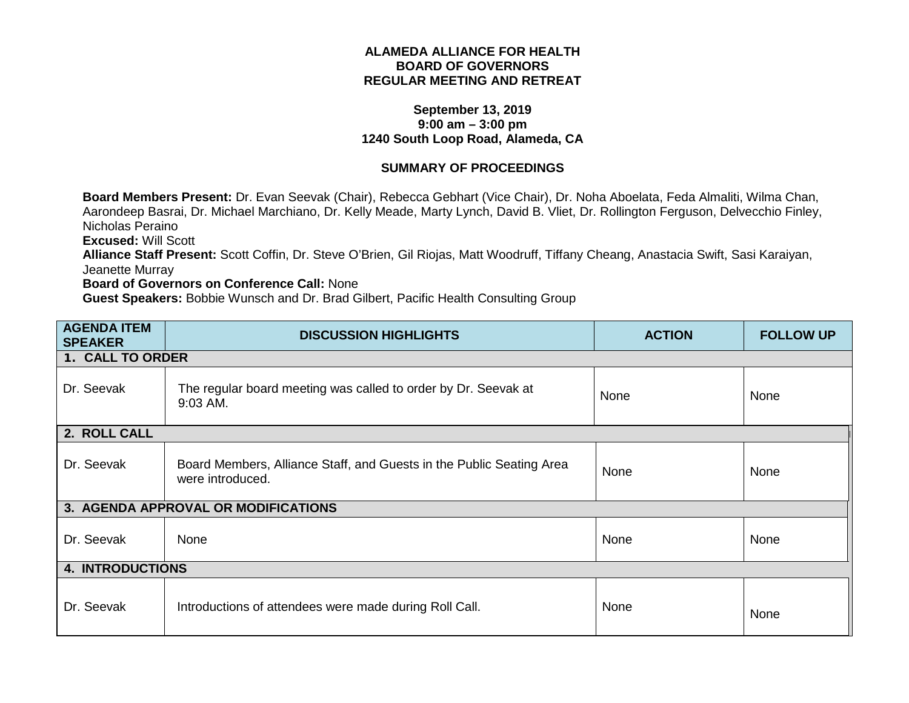## **ALAMEDA ALLIANCE FOR HEALTH BOARD OF GOVERNORS REGULAR MEETING AND RETREAT**

## **September 13, 2019 9:00 am – 3:00 pm 1240 South Loop Road, Alameda, CA**

## **SUMMARY OF PROCEEDINGS**

**Board Members Present:** Dr. Evan Seevak (Chair), Rebecca Gebhart (Vice Chair), Dr. Noha Aboelata, Feda Almaliti, Wilma Chan, Aarondeep Basrai, Dr. Michael Marchiano, Dr. Kelly Meade, Marty Lynch, David B. Vliet, Dr. Rollington Ferguson, Delvecchio Finley, Nicholas Peraino

**Excused:** Will Scott

**Alliance Staff Present:** Scott Coffin, Dr. Steve O'Brien, Gil Riojas, Matt Woodruff, Tiffany Cheang, Anastacia Swift, Sasi Karaiyan, Jeanette Murray

## **Board of Governors on Conference Call:** None

**Guest Speakers:** Bobbie Wunsch and Dr. Brad Gilbert, Pacific Health Consulting Group

| <b>AGENDA ITEM</b><br><b>SPEAKER</b> | <b>DISCUSSION HIGHLIGHTS</b>                                                             | <b>ACTION</b> | <b>FOLLOW UP</b> |
|--------------------------------------|------------------------------------------------------------------------------------------|---------------|------------------|
| 1. CALL TO ORDER                     |                                                                                          |               |                  |
| Dr. Seevak                           | The regular board meeting was called to order by Dr. Seevak at<br>9:03 AM.               | None          | None             |
| 2. ROLL CALL                         |                                                                                          |               |                  |
| Dr. Seevak                           | Board Members, Alliance Staff, and Guests in the Public Seating Area<br>were introduced. | None          | None             |
|                                      | 3. AGENDA APPROVAL OR MODIFICATIONS                                                      |               |                  |
| Dr. Seevak                           | None                                                                                     | None          | None             |
| <b>4. INTRODUCTIONS</b>              |                                                                                          |               |                  |
| Dr. Seevak                           | Introductions of attendees were made during Roll Call.                                   | None          | None             |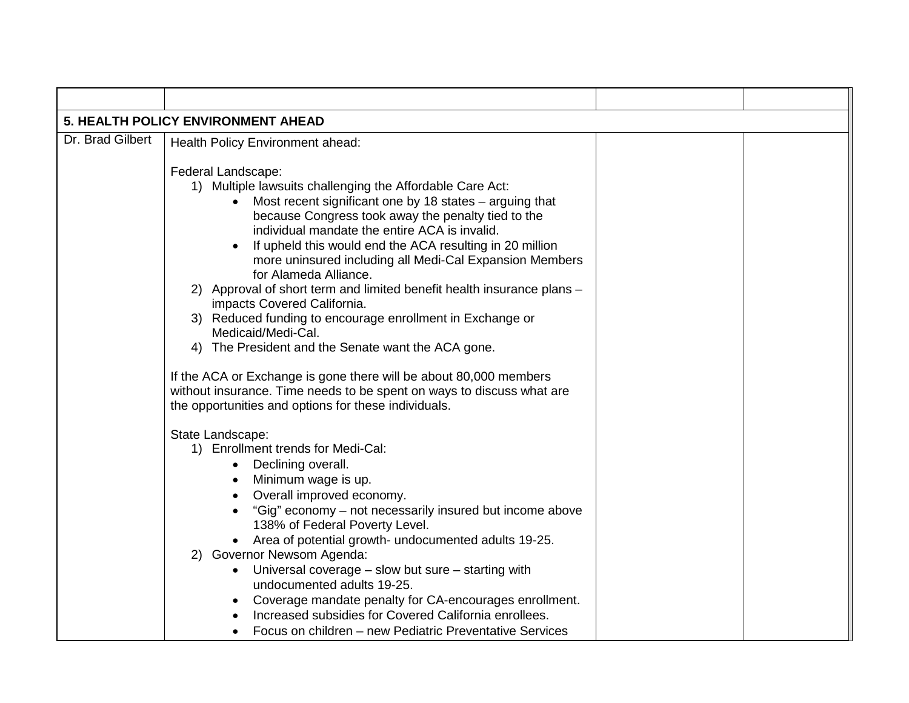| 5. HEALTH POLICY ENVIRONMENT AHEAD |                                                                                                                                                                                                                                                                                                                                                                                                                                                                                                                                                                                                                                                                                                                                                                                                                                                              |  |  |
|------------------------------------|--------------------------------------------------------------------------------------------------------------------------------------------------------------------------------------------------------------------------------------------------------------------------------------------------------------------------------------------------------------------------------------------------------------------------------------------------------------------------------------------------------------------------------------------------------------------------------------------------------------------------------------------------------------------------------------------------------------------------------------------------------------------------------------------------------------------------------------------------------------|--|--|
| Dr. Brad Gilbert                   | Health Policy Environment ahead:                                                                                                                                                                                                                                                                                                                                                                                                                                                                                                                                                                                                                                                                                                                                                                                                                             |  |  |
|                                    | Federal Landscape:<br>1) Multiple lawsuits challenging the Affordable Care Act:<br>Most recent significant one by 18 states – arguing that<br>because Congress took away the penalty tied to the<br>individual mandate the entire ACA is invalid.<br>If upheld this would end the ACA resulting in 20 million<br>more uninsured including all Medi-Cal Expansion Members<br>for Alameda Alliance.<br>2) Approval of short term and limited benefit health insurance plans -<br>impacts Covered California.<br>3) Reduced funding to encourage enrollment in Exchange or<br>Medicaid/Medi-Cal.<br>The President and the Senate want the ACA gone.<br>4)<br>If the ACA or Exchange is gone there will be about 80,000 members<br>without insurance. Time needs to be spent on ways to discuss what are<br>the opportunities and options for these individuals. |  |  |
|                                    | State Landscape:<br>1) Enrollment trends for Medi-Cal:<br>Declining overall.<br>Minimum wage is up.<br>Overall improved economy.<br>$\bullet$<br>"Gig" economy – not necessarily insured but income above<br>138% of Federal Poverty Level.<br>Area of potential growth- undocumented adults 19-25.<br><b>Governor Newsom Agenda:</b><br>2)<br>Universal coverage $-$ slow but sure $-$ starting with<br>$\bullet$<br>undocumented adults 19-25.<br>Coverage mandate penalty for CA-encourages enrollment.<br>$\bullet$<br>Increased subsidies for Covered California enrollees.<br>Focus on children – new Pediatric Preventative Services                                                                                                                                                                                                                  |  |  |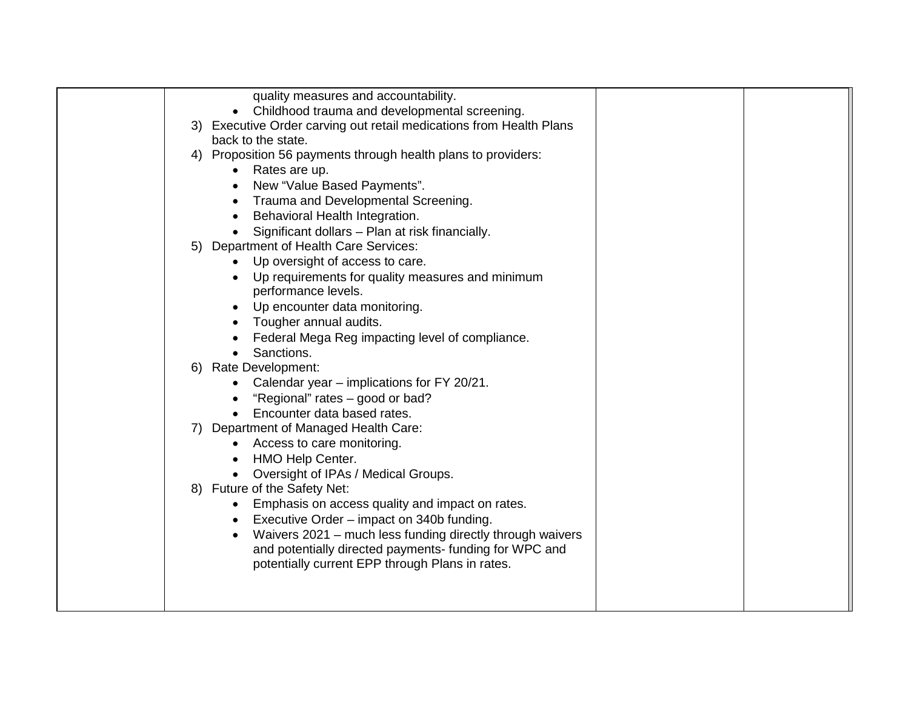| quality measures and accountability.<br>Childhood trauma and developmental screening.     |
|-------------------------------------------------------------------------------------------|
| $\bullet$                                                                                 |
| 3) Executive Order carving out retail medications from Health Plans<br>back to the state. |
| Proposition 56 payments through health plans to providers:<br>4)                          |
| Rates are up.<br>$\bullet$                                                                |
| New "Value Based Payments".                                                               |
| Trauma and Developmental Screening.                                                       |
| Behavioral Health Integration.                                                            |
| Significant dollars - Plan at risk financially.                                           |
| Department of Health Care Services:<br>5)                                                 |
| Up oversight of access to care.                                                           |
| Up requirements for quality measures and minimum                                          |
| performance levels.                                                                       |
| Up encounter data monitoring.                                                             |
| Tougher annual audits.                                                                    |
| Federal Mega Reg impacting level of compliance.                                           |
| Sanctions.                                                                                |
| 6) Rate Development:                                                                      |
| Calendar year - implications for FY 20/21.<br>"Regional" rates - good or bad?             |
| Encounter data based rates.                                                               |
| Department of Managed Health Care:<br>7)                                                  |
| Access to care monitoring.                                                                |
| HMO Help Center.                                                                          |
| Oversight of IPAs / Medical Groups.                                                       |
| 8) Future of the Safety Net:                                                              |
| Emphasis on access quality and impact on rates.                                           |
| Executive Order - impact on 340b funding.                                                 |
| Waivers 2021 - much less funding directly through waivers                                 |
| and potentially directed payments- funding for WPC and                                    |
| potentially current EPP through Plans in rates.                                           |
|                                                                                           |
|                                                                                           |
|                                                                                           |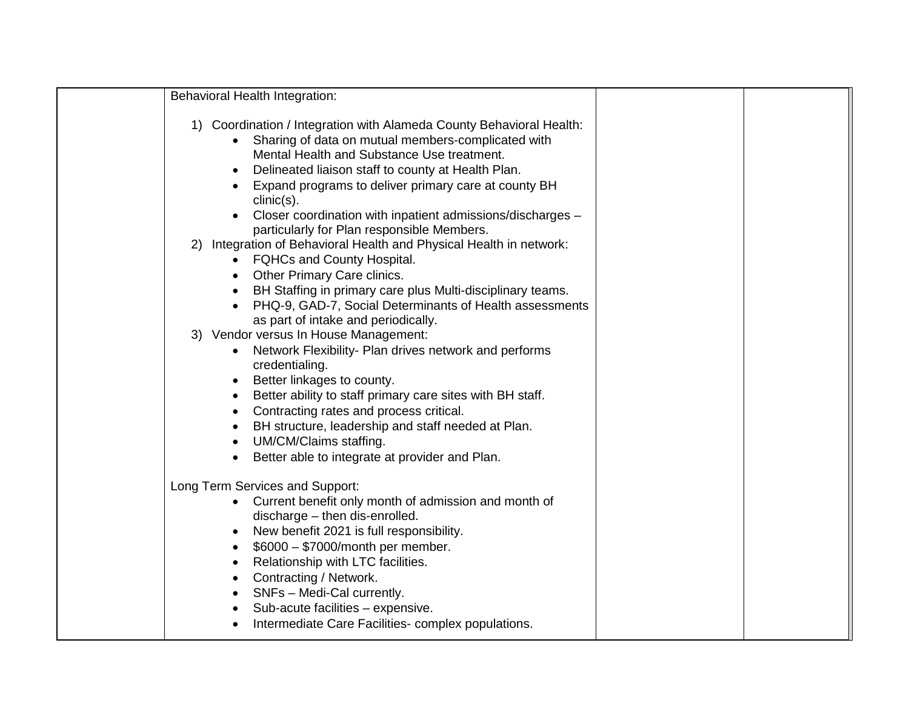| Behavioral Health Integration:                                                                                                                                                                                                                                                                                                                                                                                                                                         |  |
|------------------------------------------------------------------------------------------------------------------------------------------------------------------------------------------------------------------------------------------------------------------------------------------------------------------------------------------------------------------------------------------------------------------------------------------------------------------------|--|
| 1) Coordination / Integration with Alameda County Behavioral Health:<br>Sharing of data on mutual members-complicated with<br>Mental Health and Substance Use treatment.<br>Delineated liaison staff to county at Health Plan.<br>Expand programs to deliver primary care at county BH<br>$clinic(s)$ .<br>Closer coordination with inpatient admissions/discharges -<br>particularly for Plan responsible Members.                                                    |  |
| Integration of Behavioral Health and Physical Health in network:<br>2)<br><b>FQHCs and County Hospital.</b><br>$\bullet$<br><b>Other Primary Care clinics.</b><br>$\bullet$<br>BH Staffing in primary care plus Multi-disciplinary teams.<br>PHQ-9, GAD-7, Social Determinants of Health assessments<br>$\bullet$                                                                                                                                                      |  |
| as part of intake and periodically.<br>3) Vendor versus In House Management:<br>Network Flexibility- Plan drives network and performs<br>credentialing.<br>Better linkages to county.<br>$\bullet$<br>Better ability to staff primary care sites with BH staff.<br>$\bullet$<br>Contracting rates and process critical.<br>BH structure, leadership and staff needed at Plan.<br>UM/CM/Claims staffing.<br>$\bullet$<br>Better able to integrate at provider and Plan. |  |
| Long Term Services and Support:<br>Current benefit only month of admission and month of<br>discharge - then dis-enrolled.<br>New benefit 2021 is full responsibility.<br>$\bullet$<br>\$6000 - \$7000/month per member.<br>Relationship with LTC facilities.<br>$\bullet$<br>Contracting / Network.<br>SNFs - Medi-Cal currently.<br>Sub-acute facilities - expensive.<br>Intermediate Care Facilities-complex populations.                                            |  |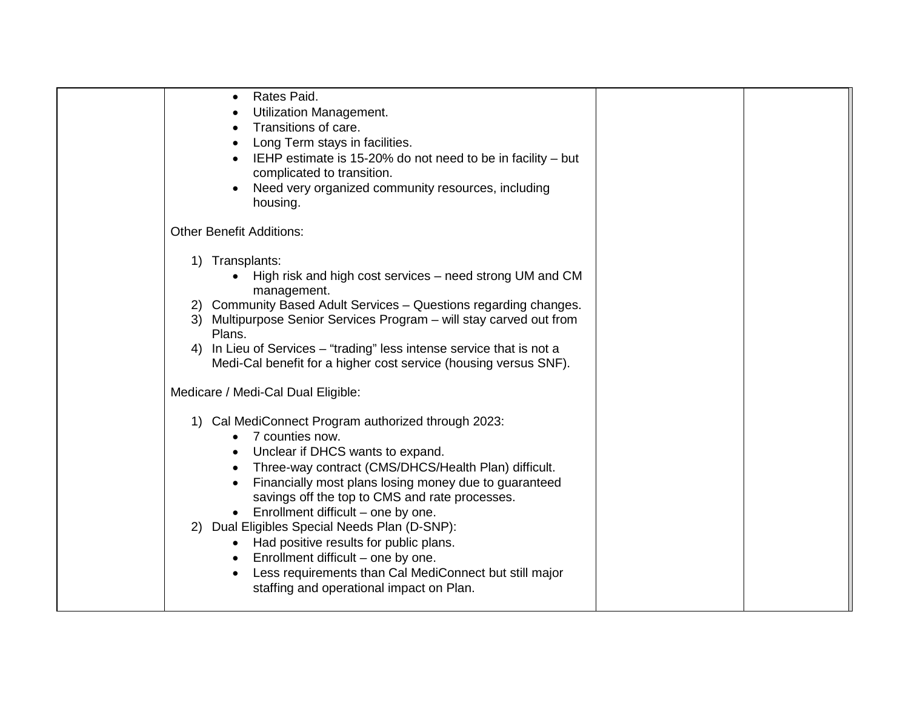| Rates Paid.<br><b>Utilization Management.</b><br>Transitions of care.<br>Long Term stays in facilities.<br>IEHP estimate is 15-20% do not need to be in facility – but<br>complicated to transition.                                                                                                                                                                                                                                                                                                                                                                    |  |
|-------------------------------------------------------------------------------------------------------------------------------------------------------------------------------------------------------------------------------------------------------------------------------------------------------------------------------------------------------------------------------------------------------------------------------------------------------------------------------------------------------------------------------------------------------------------------|--|
| Need very organized community resources, including<br>housing.                                                                                                                                                                                                                                                                                                                                                                                                                                                                                                          |  |
| <b>Other Benefit Additions:</b>                                                                                                                                                                                                                                                                                                                                                                                                                                                                                                                                         |  |
| 1) Transplants:<br>High risk and high cost services – need strong UM and CM<br>management.<br>Community Based Adult Services - Questions regarding changes.<br><sup>2</sup><br>3) Multipurpose Senior Services Program - will stay carved out from<br>Plans.<br>4) In Lieu of Services – "trading" less intense service that is not a<br>Medi-Cal benefit for a higher cost service (housing versus SNF).                                                                                                                                                               |  |
| Medicare / Medi-Cal Dual Eligible:                                                                                                                                                                                                                                                                                                                                                                                                                                                                                                                                      |  |
| Cal MediConnect Program authorized through 2023:<br>1)<br>7 counties now.<br>Unclear if DHCS wants to expand.<br>Three-way contract (CMS/DHCS/Health Plan) difficult.<br>Financially most plans losing money due to guaranteed<br>savings off the top to CMS and rate processes.<br>$\bullet$ Enrollment difficult – one by one.<br>2) Dual Eligibles Special Needs Plan (D-SNP):<br>Had positive results for public plans.<br>Enrollment difficult - one by one.<br>Less requirements than Cal MediConnect but still major<br>staffing and operational impact on Plan. |  |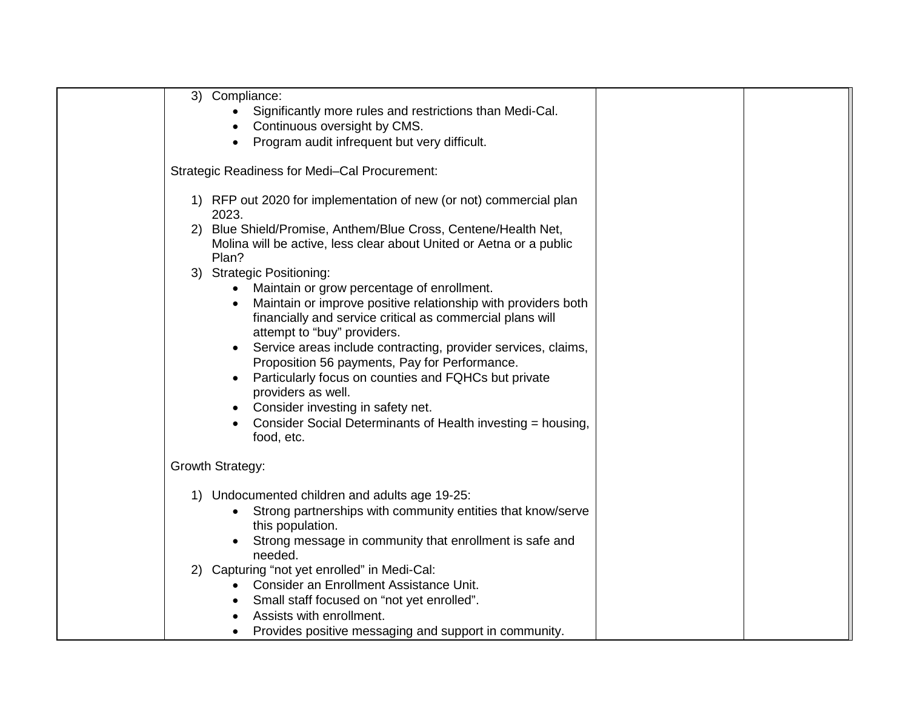|    | 3) Compliance:                                                                                                              |
|----|-----------------------------------------------------------------------------------------------------------------------------|
|    | Significantly more rules and restrictions than Medi-Cal.<br>$\bullet$                                                       |
|    | Continuous oversight by CMS.                                                                                                |
|    | Program audit infrequent but very difficult.                                                                                |
|    | <b>Strategic Readiness for Medi-Cal Procurement:</b>                                                                        |
|    | 1) RFP out 2020 for implementation of new (or not) commercial plan<br>2023.                                                 |
|    | 2) Blue Shield/Promise, Anthem/Blue Cross, Centene/Health Net,                                                              |
|    | Molina will be active, less clear about United or Aetna or a public                                                         |
|    | Plan?                                                                                                                       |
|    | 3) Strategic Positioning:                                                                                                   |
|    | Maintain or grow percentage of enrollment.<br>$\bullet$                                                                     |
|    | Maintain or improve positive relationship with providers both<br>$\bullet$                                                  |
|    | financially and service critical as commercial plans will                                                                   |
|    | attempt to "buy" providers.                                                                                                 |
|    | Service areas include contracting, provider services, claims,<br>$\bullet$<br>Proposition 56 payments, Pay for Performance. |
|    | Particularly focus on counties and FQHCs but private<br>$\bullet$                                                           |
|    | providers as well.                                                                                                          |
|    | Consider investing in safety net.                                                                                           |
|    | Consider Social Determinants of Health investing = housing,                                                                 |
|    | food, etc.                                                                                                                  |
|    | Growth Strategy:                                                                                                            |
|    |                                                                                                                             |
|    | 1) Undocumented children and adults age 19-25:                                                                              |
|    | Strong partnerships with community entities that know/serve<br>$\bullet$                                                    |
|    | this population.                                                                                                            |
|    | Strong message in community that enrollment is safe and                                                                     |
|    | needed.                                                                                                                     |
| 2) | Capturing "not yet enrolled" in Medi-Cal:                                                                                   |
|    | Consider an Enrollment Assistance Unit.                                                                                     |
|    | Small staff focused on "not yet enrolled".<br>$\bullet$                                                                     |
|    | Assists with enrollment.                                                                                                    |
|    | Provides positive messaging and support in community.                                                                       |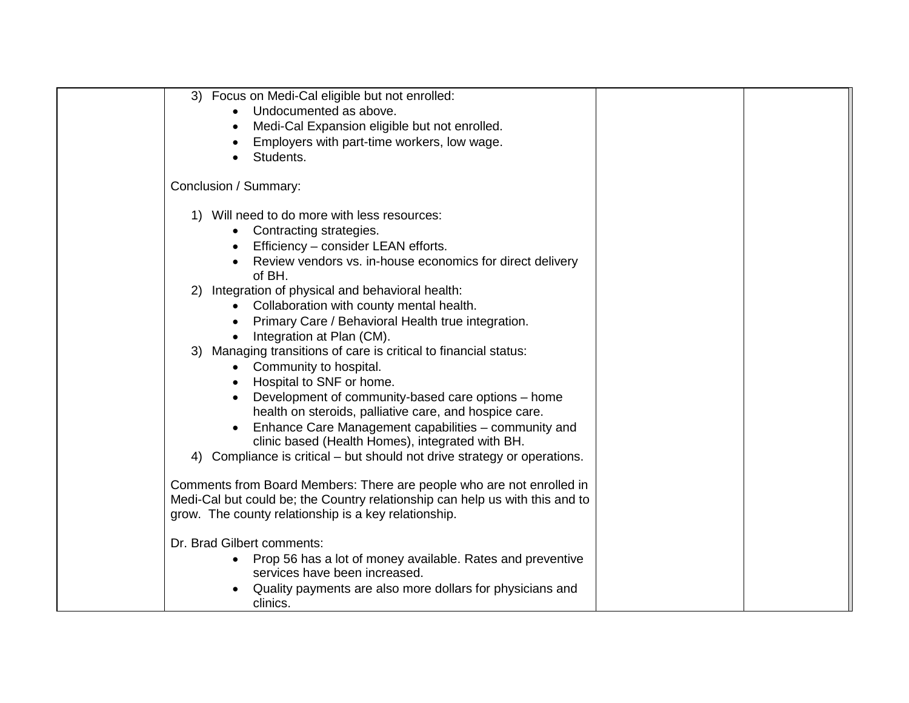| Focus on Medi-Cal eligible but not enrolled:<br>3)                           |  |
|------------------------------------------------------------------------------|--|
| Undocumented as above.                                                       |  |
| Medi-Cal Expansion eligible but not enrolled.                                |  |
| Employers with part-time workers, low wage.                                  |  |
| Students.                                                                    |  |
| Conclusion / Summary:                                                        |  |
| Will need to do more with less resources:<br>1)                              |  |
| Contracting strategies.                                                      |  |
| Efficiency - consider LEAN efforts.                                          |  |
| Review vendors vs. in-house economics for direct delivery                    |  |
| of BH.                                                                       |  |
| Integration of physical and behavioral health:<br>2)                         |  |
| Collaboration with county mental health.                                     |  |
| Primary Care / Behavioral Health true integration.<br>$\bullet$              |  |
| Integration at Plan (CM).                                                    |  |
| 3) Managing transitions of care is critical to financial status:             |  |
| Community to hospital.                                                       |  |
| Hospital to SNF or home.                                                     |  |
| Development of community-based care options - home                           |  |
| health on steroids, palliative care, and hospice care.                       |  |
| Enhance Care Management capabilities - community and<br>$\bullet$            |  |
| clinic based (Health Homes), integrated with BH.                             |  |
| Compliance is critical – but should not drive strategy or operations.<br>4)  |  |
| Comments from Board Members: There are people who are not enrolled in        |  |
| Medi-Cal but could be; the Country relationship can help us with this and to |  |
| grow. The county relationship is a key relationship.                         |  |
|                                                                              |  |
| Dr. Brad Gilbert comments:                                                   |  |
| Prop 56 has a lot of money available. Rates and preventive                   |  |
| services have been increased.                                                |  |
| Quality payments are also more dollars for physicians and                    |  |
| clinics.                                                                     |  |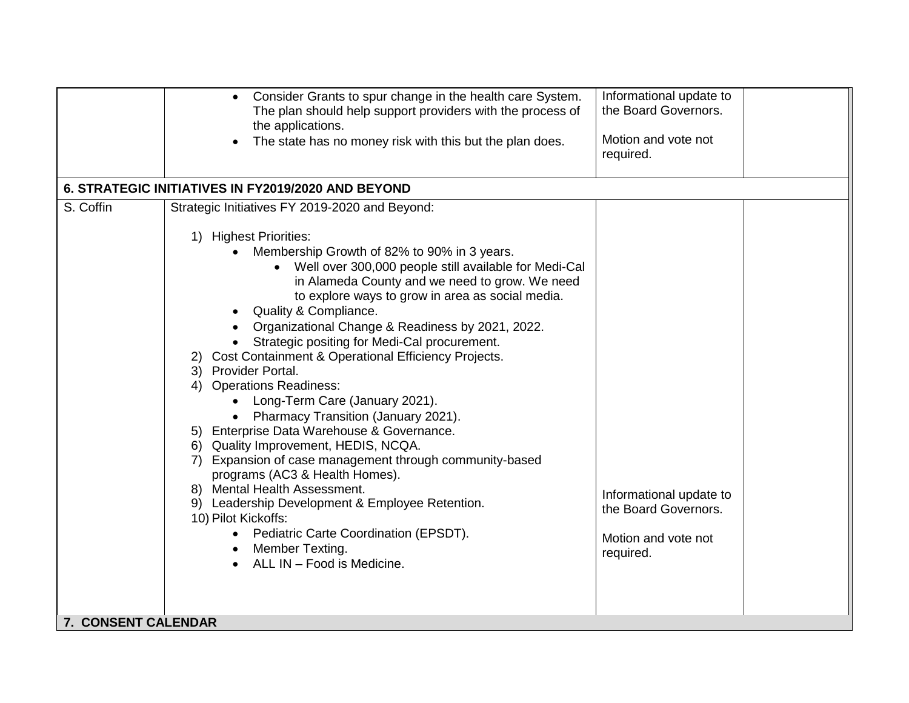| Informational update to<br>Consider Grants to spur change in the health care System.<br>$\bullet$<br>the Board Governors.<br>The plan should help support providers with the process of<br>the applications.<br>Motion and vote not<br>The state has no money risk with this but the plan does.<br>required.<br>6. STRATEGIC INITIATIVES IN FY2019/2020 AND BEYOND<br>S. Coffin<br>Strategic Initiatives FY 2019-2020 and Beyond:<br><b>Highest Priorities:</b><br>1)<br>Membership Growth of 82% to 90% in 3 years.<br>Well over 300,000 people still available for Medi-Cal<br>in Alameda County and we need to grow. We need<br>to explore ways to grow in area as social media.<br>Quality & Compliance.<br>Organizational Change & Readiness by 2021, 2022.<br>Strategic positing for Medi-Cal procurement.<br>Cost Containment & Operational Efficiency Projects.<br>3) Provider Portal.<br><b>Operations Readiness:</b><br>4)<br>Long-Term Care (January 2021).<br>Pharmacy Transition (January 2021).<br>5) Enterprise Data Warehouse & Governance.<br>6) Quality Improvement, HEDIS, NCQA.<br>7) Expansion of case management through community-based<br>programs (AC3 & Health Homes).<br>8) Mental Health Assessment.<br>Informational update to<br>9) Leadership Development & Employee Retention.<br>the Board Governors.<br>10) Pilot Kickoffs:<br>Pediatric Carte Coordination (EPSDT).<br>$\bullet$<br>Motion and vote not<br>Member Texting.<br>required.<br>ALL IN - Food is Medicine. |                     |  |
|----------------------------------------------------------------------------------------------------------------------------------------------------------------------------------------------------------------------------------------------------------------------------------------------------------------------------------------------------------------------------------------------------------------------------------------------------------------------------------------------------------------------------------------------------------------------------------------------------------------------------------------------------------------------------------------------------------------------------------------------------------------------------------------------------------------------------------------------------------------------------------------------------------------------------------------------------------------------------------------------------------------------------------------------------------------------------------------------------------------------------------------------------------------------------------------------------------------------------------------------------------------------------------------------------------------------------------------------------------------------------------------------------------------------------------------------------------------------------------------------------------|---------------------|--|
|                                                                                                                                                                                                                                                                                                                                                                                                                                                                                                                                                                                                                                                                                                                                                                                                                                                                                                                                                                                                                                                                                                                                                                                                                                                                                                                                                                                                                                                                                                          |                     |  |
|                                                                                                                                                                                                                                                                                                                                                                                                                                                                                                                                                                                                                                                                                                                                                                                                                                                                                                                                                                                                                                                                                                                                                                                                                                                                                                                                                                                                                                                                                                          |                     |  |
|                                                                                                                                                                                                                                                                                                                                                                                                                                                                                                                                                                                                                                                                                                                                                                                                                                                                                                                                                                                                                                                                                                                                                                                                                                                                                                                                                                                                                                                                                                          |                     |  |
|                                                                                                                                                                                                                                                                                                                                                                                                                                                                                                                                                                                                                                                                                                                                                                                                                                                                                                                                                                                                                                                                                                                                                                                                                                                                                                                                                                                                                                                                                                          |                     |  |
|                                                                                                                                                                                                                                                                                                                                                                                                                                                                                                                                                                                                                                                                                                                                                                                                                                                                                                                                                                                                                                                                                                                                                                                                                                                                                                                                                                                                                                                                                                          | 7. CONSENT CALENDAR |  |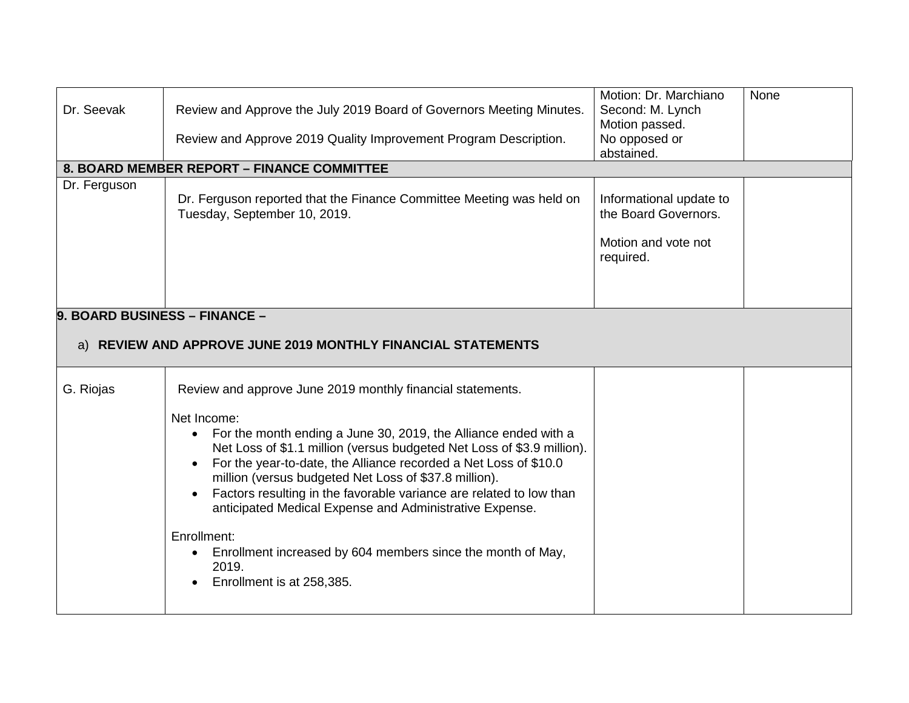| Dr. Seevak                                                                                    | Review and Approve the July 2019 Board of Governors Meeting Minutes.<br>Review and Approve 2019 Quality Improvement Program Description.                                                                                                                                                                                                                                                                                                                                                                                                                 | Motion: Dr. Marchiano<br>Second: M. Lynch<br>Motion passed.<br>No opposed or        | None |
|-----------------------------------------------------------------------------------------------|----------------------------------------------------------------------------------------------------------------------------------------------------------------------------------------------------------------------------------------------------------------------------------------------------------------------------------------------------------------------------------------------------------------------------------------------------------------------------------------------------------------------------------------------------------|-------------------------------------------------------------------------------------|------|
|                                                                                               |                                                                                                                                                                                                                                                                                                                                                                                                                                                                                                                                                          | abstained.                                                                          |      |
|                                                                                               | 8. BOARD MEMBER REPORT - FINANCE COMMITTEE                                                                                                                                                                                                                                                                                                                                                                                                                                                                                                               |                                                                                     |      |
| Dr. Ferguson                                                                                  | Dr. Ferguson reported that the Finance Committee Meeting was held on<br>Tuesday, September 10, 2019.                                                                                                                                                                                                                                                                                                                                                                                                                                                     | Informational update to<br>the Board Governors.<br>Motion and vote not<br>required. |      |
| 9. BOARD BUSINESS - FINANCE -<br>a) REVIEW AND APPROVE JUNE 2019 MONTHLY FINANCIAL STATEMENTS |                                                                                                                                                                                                                                                                                                                                                                                                                                                                                                                                                          |                                                                                     |      |
|                                                                                               |                                                                                                                                                                                                                                                                                                                                                                                                                                                                                                                                                          |                                                                                     |      |
| G. Riojas                                                                                     | Review and approve June 2019 monthly financial statements.                                                                                                                                                                                                                                                                                                                                                                                                                                                                                               |                                                                                     |      |
|                                                                                               | Net Income:<br>For the month ending a June 30, 2019, the Alliance ended with a<br>$\bullet$<br>Net Loss of \$1.1 million (versus budgeted Net Loss of \$3.9 million).<br>For the year-to-date, the Alliance recorded a Net Loss of \$10.0<br>million (versus budgeted Net Loss of \$37.8 million).<br>Factors resulting in the favorable variance are related to low than<br>anticipated Medical Expense and Administrative Expense.<br>Enrollment:<br>Enrollment increased by 604 members since the month of May,<br>2019.<br>Enrollment is at 258,385. |                                                                                     |      |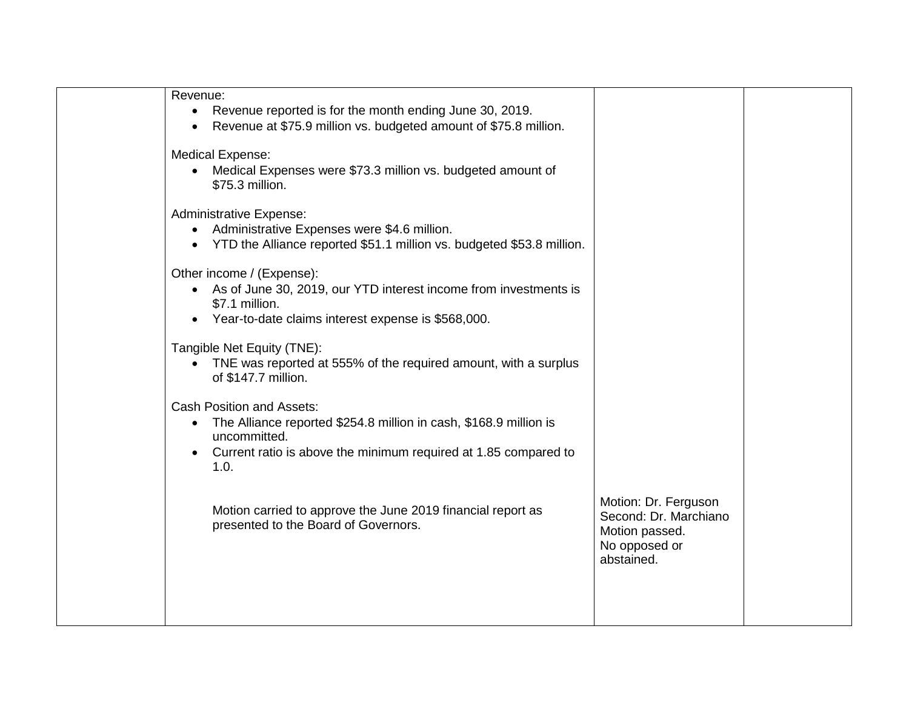| Revenue:<br>Revenue reported is for the month ending June 30, 2019.<br>$\bullet$<br>Revenue at \$75.9 million vs. budgeted amount of \$75.8 million.                                                          |                                                                                                |  |
|---------------------------------------------------------------------------------------------------------------------------------------------------------------------------------------------------------------|------------------------------------------------------------------------------------------------|--|
| <b>Medical Expense:</b><br>Medical Expenses were \$73.3 million vs. budgeted amount of<br>$\bullet$<br>\$75.3 million.                                                                                        |                                                                                                |  |
| <b>Administrative Expense:</b><br>Administrative Expenses were \$4.6 million.<br>$\bullet$<br>YTD the Alliance reported \$51.1 million vs. budgeted \$53.8 million.<br>$\bullet$                              |                                                                                                |  |
| Other income / (Expense):<br>• As of June 30, 2019, our YTD interest income from investments is<br>\$7.1 million.<br>Year-to-date claims interest expense is \$568,000.                                       |                                                                                                |  |
| Tangible Net Equity (TNE):<br>TNE was reported at 555% of the required amount, with a surplus<br>of \$147.7 million.                                                                                          |                                                                                                |  |
| <b>Cash Position and Assets:</b><br>The Alliance reported \$254.8 million in cash, \$168.9 million is<br>$\bullet$<br>uncommitted.<br>Current ratio is above the minimum required at 1.85 compared to<br>1.0. |                                                                                                |  |
| Motion carried to approve the June 2019 financial report as<br>presented to the Board of Governors.                                                                                                           | Motion: Dr. Ferguson<br>Second: Dr. Marchiano<br>Motion passed.<br>No opposed or<br>abstained. |  |
|                                                                                                                                                                                                               |                                                                                                |  |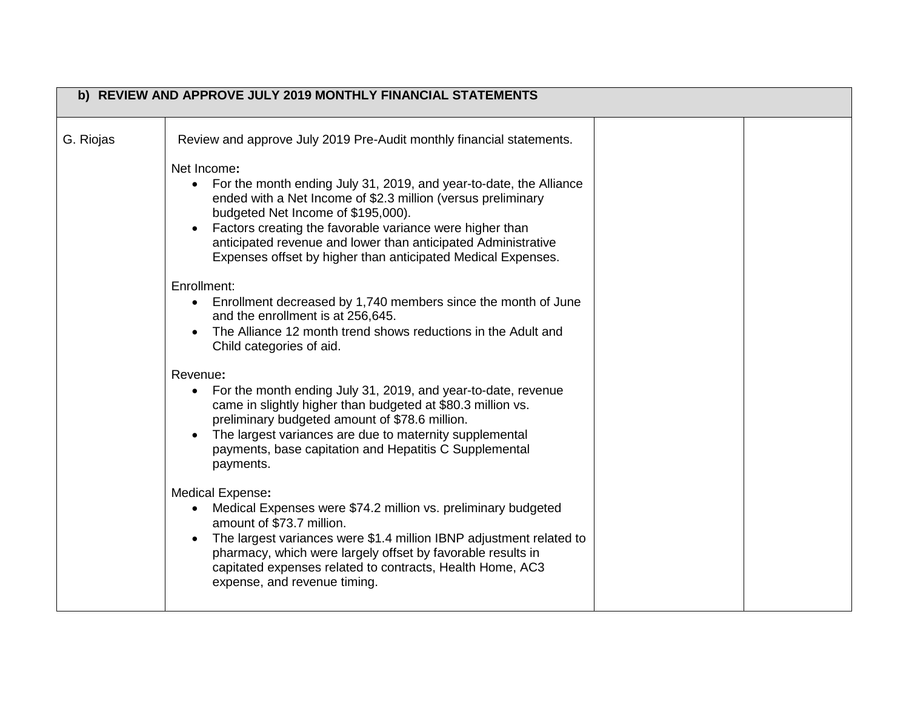|           | b) REVIEW AND APPROVE JULY 2019 MONTHLY FINANCIAL STATEMENTS                                                                                                                                                                                                                                                                                      |  |
|-----------|---------------------------------------------------------------------------------------------------------------------------------------------------------------------------------------------------------------------------------------------------------------------------------------------------------------------------------------------------|--|
| G. Riojas | Review and approve July 2019 Pre-Audit monthly financial statements.<br>Net Income:<br>For the month ending July 31, 2019, and year-to-date, the Alliance<br>$\bullet$<br>ended with a Net Income of \$2.3 million (versus preliminary<br>budgeted Net Income of \$195,000).                                                                      |  |
|           | Factors creating the favorable variance were higher than<br>anticipated revenue and lower than anticipated Administrative<br>Expenses offset by higher than anticipated Medical Expenses.                                                                                                                                                         |  |
|           | Enrollment:<br>Enrollment decreased by 1,740 members since the month of June<br>$\bullet$<br>and the enrollment is at 256,645.<br>The Alliance 12 month trend shows reductions in the Adult and<br>Child categories of aid.                                                                                                                       |  |
|           | Revenue:<br>For the month ending July 31, 2019, and year-to-date, revenue<br>$\bullet$<br>came in slightly higher than budgeted at \$80.3 million vs.<br>preliminary budgeted amount of \$78.6 million.<br>The largest variances are due to maternity supplemental<br>payments, base capitation and Hepatitis C Supplemental<br>payments.         |  |
|           | Medical Expense:<br>Medical Expenses were \$74.2 million vs. preliminary budgeted<br>amount of \$73.7 million.<br>The largest variances were \$1.4 million IBNP adjustment related to<br>pharmacy, which were largely offset by favorable results in<br>capitated expenses related to contracts, Health Home, AC3<br>expense, and revenue timing. |  |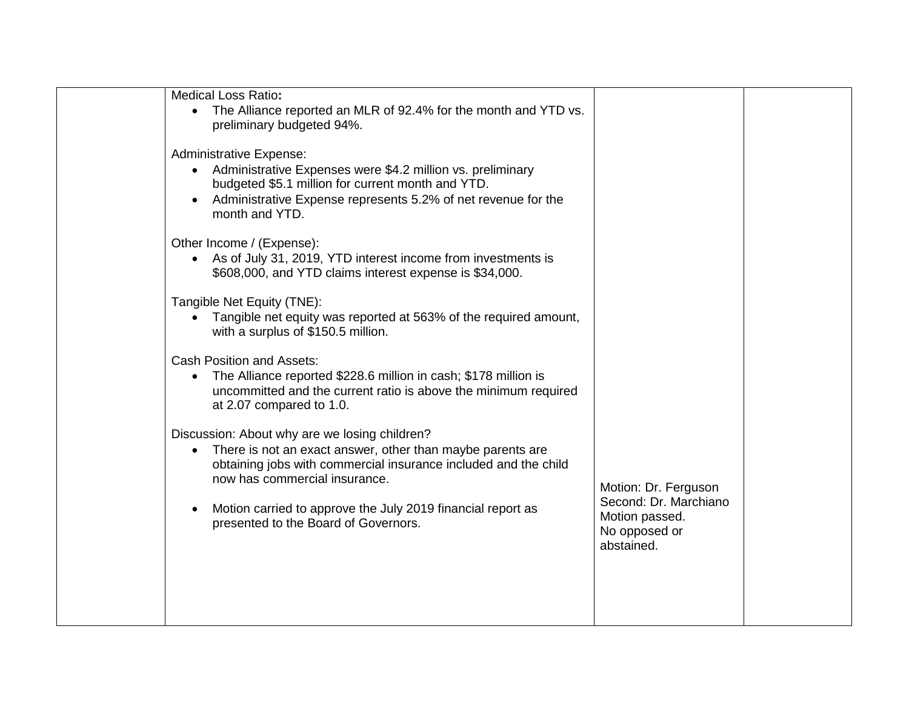| Medical Loss Ratio:<br>The Alliance reported an MLR of 92.4% for the month and YTD vs.<br>preliminary budgeted 94%.                                                                                                                                                                                                                 |                                                                                                |  |
|-------------------------------------------------------------------------------------------------------------------------------------------------------------------------------------------------------------------------------------------------------------------------------------------------------------------------------------|------------------------------------------------------------------------------------------------|--|
| <b>Administrative Expense:</b><br>Administrative Expenses were \$4.2 million vs. preliminary<br>$\bullet$<br>budgeted \$5.1 million for current month and YTD.<br>Administrative Expense represents 5.2% of net revenue for the<br>month and YTD.                                                                                   |                                                                                                |  |
| Other Income / (Expense):<br>As of July 31, 2019, YTD interest income from investments is<br>$\bullet$<br>\$608,000, and YTD claims interest expense is \$34,000.                                                                                                                                                                   |                                                                                                |  |
| Tangible Net Equity (TNE):<br>Tangible net equity was reported at 563% of the required amount,<br>with a surplus of \$150.5 million.                                                                                                                                                                                                |                                                                                                |  |
| <b>Cash Position and Assets:</b><br>The Alliance reported \$228.6 million in cash; \$178 million is<br>$\bullet$<br>uncommitted and the current ratio is above the minimum required<br>at 2.07 compared to 1.0.                                                                                                                     |                                                                                                |  |
| Discussion: About why are we losing children?<br>There is not an exact answer, other than maybe parents are<br>$\bullet$<br>obtaining jobs with commercial insurance included and the child<br>now has commercial insurance.<br>Motion carried to approve the July 2019 financial report as<br>presented to the Board of Governors. | Motion: Dr. Ferguson<br>Second: Dr. Marchiano<br>Motion passed.<br>No opposed or<br>abstained. |  |
|                                                                                                                                                                                                                                                                                                                                     |                                                                                                |  |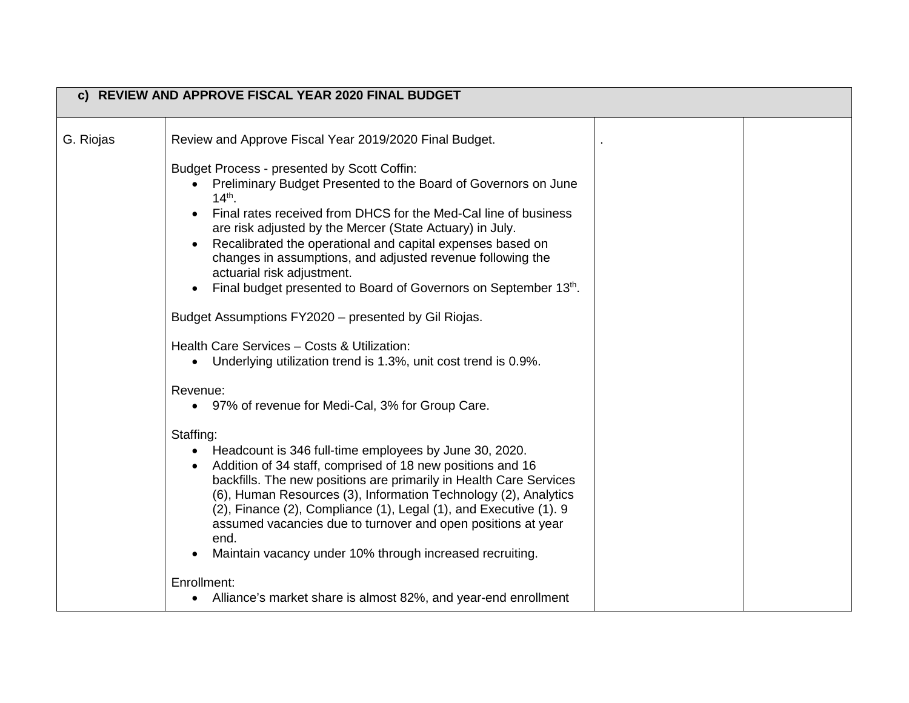| c) REVIEW AND APPROVE FISCAL YEAR 2020 FINAL BUDGET |                                                                                                                                                                                                                                                                                                                                                                                                                                                                                          |  |  |
|-----------------------------------------------------|------------------------------------------------------------------------------------------------------------------------------------------------------------------------------------------------------------------------------------------------------------------------------------------------------------------------------------------------------------------------------------------------------------------------------------------------------------------------------------------|--|--|
| G. Riojas                                           | Review and Approve Fiscal Year 2019/2020 Final Budget.                                                                                                                                                                                                                                                                                                                                                                                                                                   |  |  |
|                                                     | Budget Process - presented by Scott Coffin:<br>Preliminary Budget Presented to the Board of Governors on June<br>$14^{th}$ .<br>Final rates received from DHCS for the Med-Cal line of business<br>are risk adjusted by the Mercer (State Actuary) in July.<br>Recalibrated the operational and capital expenses based on<br>changes in assumptions, and adjusted revenue following the<br>actuarial risk adjustment.<br>Final budget presented to Board of Governors on September 13th. |  |  |
|                                                     | Budget Assumptions FY2020 - presented by Gil Riojas.                                                                                                                                                                                                                                                                                                                                                                                                                                     |  |  |
|                                                     | Health Care Services - Costs & Utilization:<br>Underlying utilization trend is 1.3%, unit cost trend is 0.9%.                                                                                                                                                                                                                                                                                                                                                                            |  |  |
|                                                     | Revenue:<br>• 97% of revenue for Medi-Cal, 3% for Group Care.                                                                                                                                                                                                                                                                                                                                                                                                                            |  |  |
|                                                     | Staffing:<br>• Headcount is 346 full-time employees by June 30, 2020.<br>Addition of 34 staff, comprised of 18 new positions and 16<br>backfills. The new positions are primarily in Health Care Services<br>(6), Human Resources (3), Information Technology (2), Analytics<br>(2), Finance (2), Compliance (1), Legal (1), and Executive (1). 9<br>assumed vacancies due to turnover and open positions at year<br>end.<br>Maintain vacancy under 10% through increased recruiting.    |  |  |
|                                                     | Enrollment:<br>• Alliance's market share is almost 82%, and year-end enrollment                                                                                                                                                                                                                                                                                                                                                                                                          |  |  |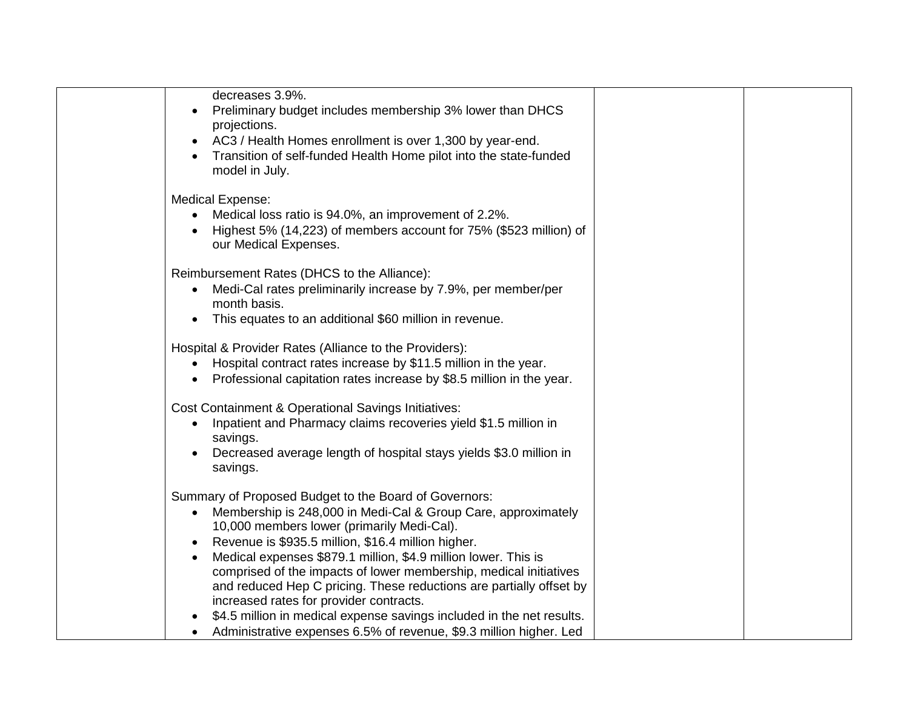| decreases 3.9%.                                                                   |  |
|-----------------------------------------------------------------------------------|--|
| Preliminary budget includes membership 3% lower than DHCS                         |  |
| projections.                                                                      |  |
| AC3 / Health Homes enrollment is over 1,300 by year-end.                          |  |
| Transition of self-funded Health Home pilot into the state-funded                 |  |
| model in July.                                                                    |  |
| Medical Expense:                                                                  |  |
| Medical loss ratio is 94.0%, an improvement of 2.2%.                              |  |
| Highest 5% (14,223) of members account for 75% (\$523 million) of                 |  |
| our Medical Expenses.                                                             |  |
| Reimbursement Rates (DHCS to the Alliance):                                       |  |
| Medi-Cal rates preliminarily increase by 7.9%, per member/per<br>$\bullet$        |  |
| month basis.                                                                      |  |
| This equates to an additional \$60 million in revenue.<br>$\bullet$               |  |
| Hospital & Provider Rates (Alliance to the Providers):                            |  |
| Hospital contract rates increase by \$11.5 million in the year.                   |  |
| Professional capitation rates increase by \$8.5 million in the year.<br>$\bullet$ |  |
| <b>Cost Containment &amp; Operational Savings Initiatives:</b>                    |  |
| Inpatient and Pharmacy claims recoveries yield \$1.5 million in<br>$\bullet$      |  |
| savings.                                                                          |  |
| Decreased average length of hospital stays yields \$3.0 million in                |  |
| savings.                                                                          |  |
| Summary of Proposed Budget to the Board of Governors:                             |  |
| Membership is 248,000 in Medi-Cal & Group Care, approximately<br>$\bullet$        |  |
| 10,000 members lower (primarily Medi-Cal).                                        |  |
| Revenue is \$935.5 million, \$16.4 million higher.<br>$\bullet$                   |  |
| Medical expenses \$879.1 million, \$4.9 million lower. This is                    |  |
| comprised of the impacts of lower membership, medical initiatives                 |  |
| and reduced Hep C pricing. These reductions are partially offset by               |  |
| increased rates for provider contracts.                                           |  |
| \$4.5 million in medical expense savings included in the net results.             |  |
| Administrative expenses 6.5% of revenue, \$9.3 million higher. Led                |  |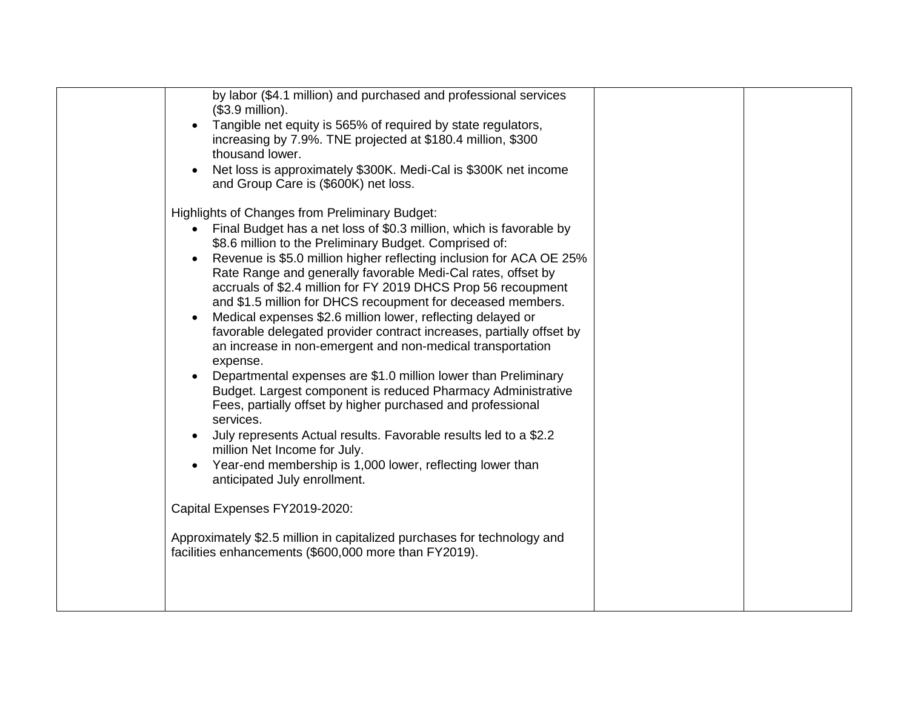| by labor (\$4.1 million) and purchased and professional services<br>$($3.9$ million).<br>Tangible net equity is 565% of required by state regulators,<br>increasing by 7.9%. TNE projected at \$180.4 million, \$300<br>thousand lower.<br>Net loss is approximately \$300K. Medi-Cal is \$300K net income<br>$\bullet$<br>and Group Care is (\$600K) net loss.                                                                                                                                                                                                                                                                                                                                                                                                                                                                                                                                                                                                                                                                                                                                                  |  |
|------------------------------------------------------------------------------------------------------------------------------------------------------------------------------------------------------------------------------------------------------------------------------------------------------------------------------------------------------------------------------------------------------------------------------------------------------------------------------------------------------------------------------------------------------------------------------------------------------------------------------------------------------------------------------------------------------------------------------------------------------------------------------------------------------------------------------------------------------------------------------------------------------------------------------------------------------------------------------------------------------------------------------------------------------------------------------------------------------------------|--|
| Highlights of Changes from Preliminary Budget:<br>Final Budget has a net loss of \$0.3 million, which is favorable by<br>$\bullet$<br>\$8.6 million to the Preliminary Budget. Comprised of:<br>Revenue is \$5.0 million higher reflecting inclusion for ACA OE 25%<br>Rate Range and generally favorable Medi-Cal rates, offset by<br>accruals of \$2.4 million for FY 2019 DHCS Prop 56 recoupment<br>and \$1.5 million for DHCS recoupment for deceased members.<br>Medical expenses \$2.6 million lower, reflecting delayed or<br>$\bullet$<br>favorable delegated provider contract increases, partially offset by<br>an increase in non-emergent and non-medical transportation<br>expense.<br>Departmental expenses are \$1.0 million lower than Preliminary<br>Budget. Largest component is reduced Pharmacy Administrative<br>Fees, partially offset by higher purchased and professional<br>services.<br>July represents Actual results. Favorable results led to a \$2.2<br>million Net Income for July.<br>Year-end membership is 1,000 lower, reflecting lower than<br>anticipated July enrollment. |  |
| Capital Expenses FY2019-2020:<br>Approximately \$2.5 million in capitalized purchases for technology and<br>facilities enhancements (\$600,000 more than FY2019).                                                                                                                                                                                                                                                                                                                                                                                                                                                                                                                                                                                                                                                                                                                                                                                                                                                                                                                                                |  |
|                                                                                                                                                                                                                                                                                                                                                                                                                                                                                                                                                                                                                                                                                                                                                                                                                                                                                                                                                                                                                                                                                                                  |  |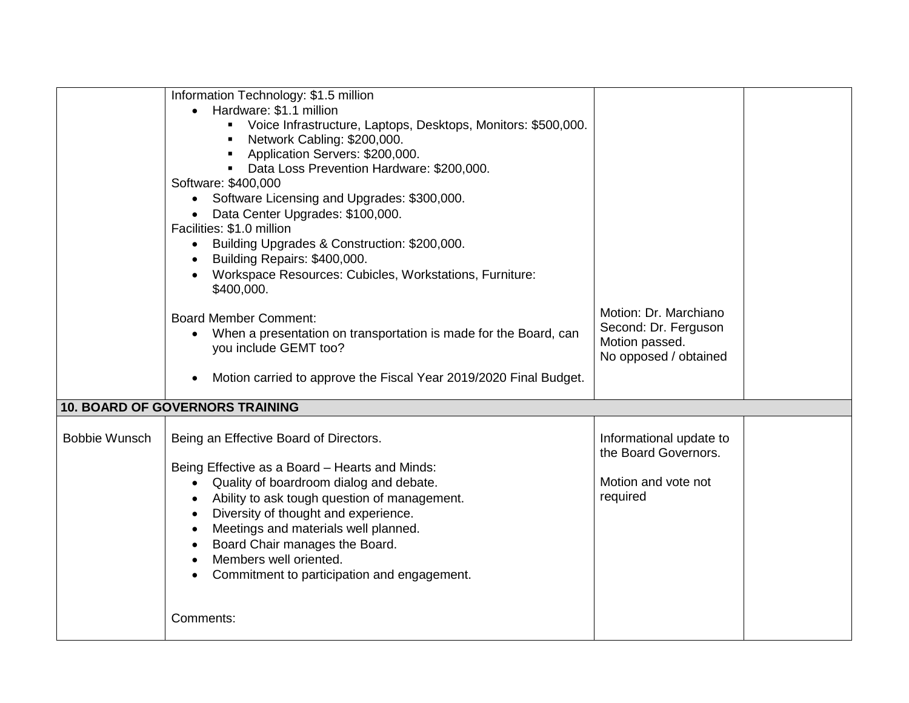|                      | Information Technology: \$1.5 million                                         |                         |  |  |
|----------------------|-------------------------------------------------------------------------------|-------------------------|--|--|
|                      |                                                                               |                         |  |  |
|                      | Hardware: \$1.1 million                                                       |                         |  |  |
|                      | Voice Infrastructure, Laptops, Desktops, Monitors: \$500,000.                 |                         |  |  |
|                      | Network Cabling: \$200,000.                                                   |                         |  |  |
|                      | Application Servers: \$200,000.                                               |                         |  |  |
|                      | Data Loss Prevention Hardware: \$200,000.                                     |                         |  |  |
|                      | Software: \$400,000                                                           |                         |  |  |
|                      | Software Licensing and Upgrades: \$300,000.<br>$\bullet$                      |                         |  |  |
|                      | Data Center Upgrades: \$100,000.                                              |                         |  |  |
|                      | Facilities: \$1.0 million                                                     |                         |  |  |
|                      | Building Upgrades & Construction: \$200,000.<br>$\bullet$                     |                         |  |  |
|                      | Building Repairs: \$400,000.                                                  |                         |  |  |
|                      | Workspace Resources: Cubicles, Workstations, Furniture:                       |                         |  |  |
|                      | \$400,000.                                                                    |                         |  |  |
|                      |                                                                               |                         |  |  |
|                      | <b>Board Member Comment:</b>                                                  | Motion: Dr. Marchiano   |  |  |
|                      | When a presentation on transportation is made for the Board, can<br>$\bullet$ | Second: Dr. Ferguson    |  |  |
|                      | you include GEMT too?                                                         | Motion passed.          |  |  |
|                      |                                                                               | No opposed / obtained   |  |  |
|                      | Motion carried to approve the Fiscal Year 2019/2020 Final Budget.             |                         |  |  |
|                      |                                                                               |                         |  |  |
|                      | <b>10. BOARD OF GOVERNORS TRAINING</b>                                        |                         |  |  |
|                      |                                                                               |                         |  |  |
| <b>Bobbie Wunsch</b> | Being an Effective Board of Directors.                                        | Informational update to |  |  |
|                      |                                                                               | the Board Governors.    |  |  |
|                      | Being Effective as a Board - Hearts and Minds:                                |                         |  |  |
|                      | Quality of boardroom dialog and debate.<br>$\bullet$                          | Motion and vote not     |  |  |
|                      | Ability to ask tough question of management.<br>$\bullet$                     | required                |  |  |
|                      | Diversity of thought and experience.<br>$\bullet$                             |                         |  |  |
|                      | Meetings and materials well planned.                                          |                         |  |  |
|                      | Board Chair manages the Board.                                                |                         |  |  |
|                      | Members well oriented.                                                        |                         |  |  |
|                      |                                                                               |                         |  |  |
|                      | Commitment to participation and engagement.                                   |                         |  |  |
|                      |                                                                               |                         |  |  |
|                      | Comments:                                                                     |                         |  |  |
|                      |                                                                               |                         |  |  |
|                      |                                                                               |                         |  |  |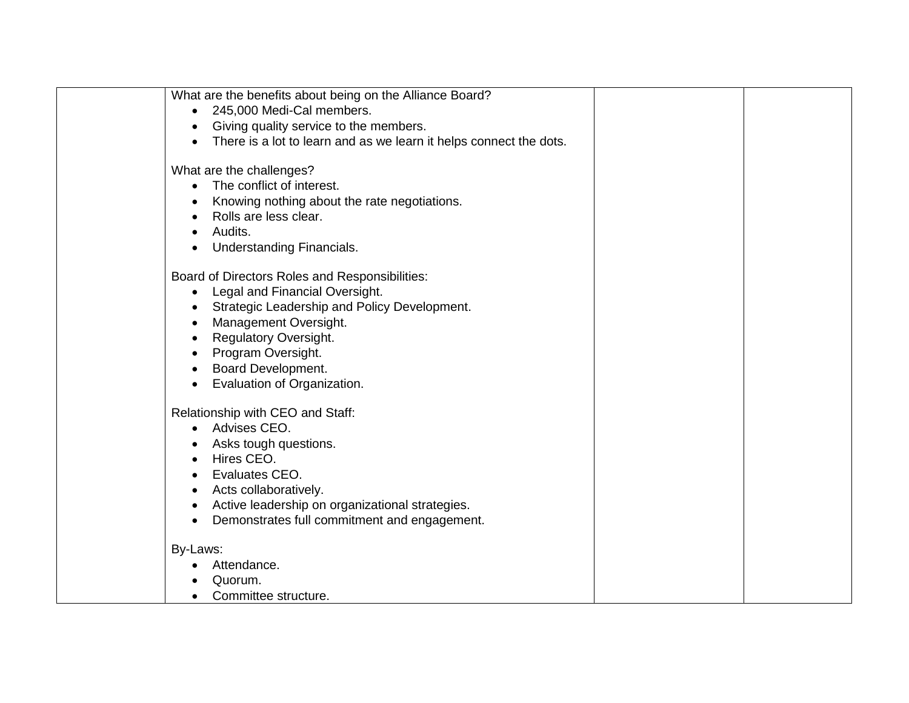| What are the benefits about being on the Alliance Board?<br>245,000 Medi-Cal members.<br>Giving quality service to the members.<br>There is a lot to learn and as we learn it helps connect the dots.                                                                                    |  |
|------------------------------------------------------------------------------------------------------------------------------------------------------------------------------------------------------------------------------------------------------------------------------------------|--|
| What are the challenges?<br>The conflict of interest.<br>٠<br>Knowing nothing about the rate negotiations.<br>Rolls are less clear.<br>Audits.<br><b>Understanding Financials.</b>                                                                                                       |  |
| Board of Directors Roles and Responsibilities:<br>Legal and Financial Oversight.<br>$\bullet$<br>Strategic Leadership and Policy Development.<br>Management Oversight.<br><b>Regulatory Oversight.</b><br>Program Oversight.<br><b>Board Development.</b><br>Evaluation of Organization. |  |
| Relationship with CEO and Staff:<br>Advises CEO.<br>$\bullet$<br>Asks tough questions.<br>Hires CEO.<br>Evaluates CEO.<br>Acts collaboratively.<br>$\bullet$<br>Active leadership on organizational strategies.<br>Demonstrates full commitment and engagement.                          |  |
| By-Laws:<br>Attendance.<br>Quorum.<br>Committee structure.                                                                                                                                                                                                                               |  |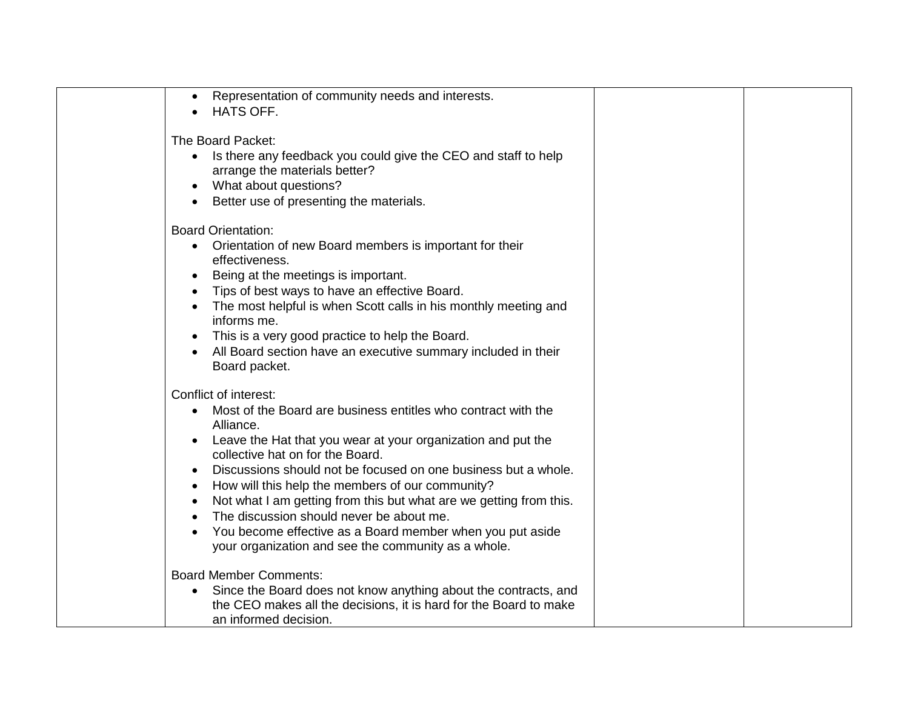| $\bullet$<br>$\bullet$                                        | Representation of community needs and interests.<br><b>HATS OFF.</b>                                                                                                                                                                                                                                                                                                                                                                                                                                                                                                |  |
|---------------------------------------------------------------|---------------------------------------------------------------------------------------------------------------------------------------------------------------------------------------------------------------------------------------------------------------------------------------------------------------------------------------------------------------------------------------------------------------------------------------------------------------------------------------------------------------------------------------------------------------------|--|
|                                                               | The Board Packet:<br>• Is there any feedback you could give the CEO and staff to help<br>arrange the materials better?<br>What about questions?<br>Better use of presenting the materials.                                                                                                                                                                                                                                                                                                                                                                          |  |
| $\bullet$<br>$\bullet$<br>$\bullet$<br>$\bullet$<br>$\bullet$ | <b>Board Orientation:</b><br>Orientation of new Board members is important for their<br>effectiveness.<br>Being at the meetings is important.<br>Tips of best ways to have an effective Board.<br>The most helpful is when Scott calls in his monthly meeting and<br>informs me.<br>This is a very good practice to help the Board.<br>All Board section have an executive summary included in their<br>Board packet.                                                                                                                                               |  |
| $\bullet$<br>$\bullet$<br>$\bullet$<br>$\bullet$<br>$\bullet$ | Conflict of interest:<br>Most of the Board are business entitles who contract with the<br>Alliance.<br>Leave the Hat that you wear at your organization and put the<br>collective hat on for the Board.<br>Discussions should not be focused on one business but a whole.<br>How will this help the members of our community?<br>Not what I am getting from this but what are we getting from this.<br>The discussion should never be about me.<br>You become effective as a Board member when you put aside<br>your organization and see the community as a whole. |  |
| $\bullet$                                                     | <b>Board Member Comments:</b><br>Since the Board does not know anything about the contracts, and<br>the CEO makes all the decisions, it is hard for the Board to make<br>an informed decision.                                                                                                                                                                                                                                                                                                                                                                      |  |